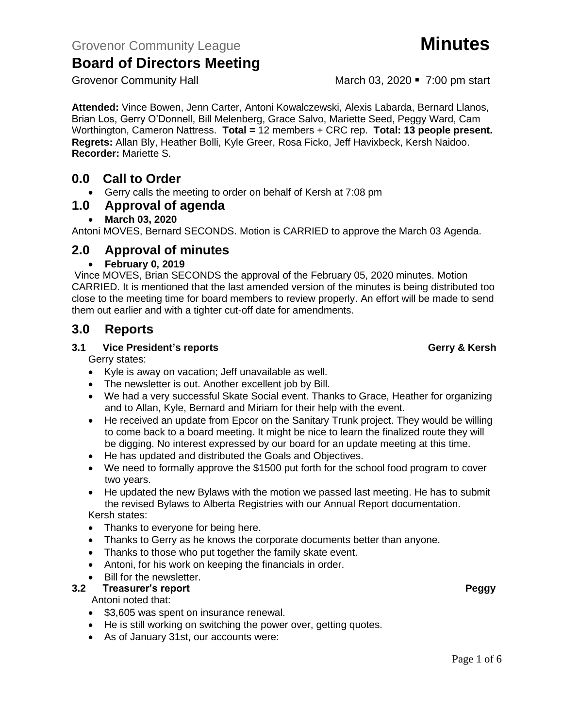Grovenor Community Hall March 03, 2020 • 7:00 pm start

**Attended:** Vince Bowen, Jenn Carter, Antoni Kowalczewski, Alexis Labarda, Bernard Llanos, Brian Los, Gerry O'Donnell, Bill Melenberg, Grace Salvo, Mariette Seed, Peggy Ward, Cam Worthington, Cameron Nattress. **Total =** 12 members + CRC rep. **Total: 13 people present. Regrets:** Allan Bly, Heather Bolli, Kyle Greer, Rosa Ficko, Jeff Havixbeck, Kersh Naidoo. **Recorder:** Mariette S.

# **0.0 Call to Order**

• Gerry calls the meeting to order on behalf of Kersh at 7:08 pm

## **1.0 Approval of agenda**

### • **March 03, 2020**

Antoni MOVES, Bernard SECONDS. Motion is CARRIED to approve the March 03 Agenda.

## **2.0 Approval of minutes**

### • **February 0, 2019**

Vince MOVES, Brian SECONDS the approval of the February 05, 2020 minutes. Motion CARRIED. It is mentioned that the last amended version of the minutes is being distributed too close to the meeting time for board members to review properly. An effort will be made to send them out earlier and with a tighter cut-off date for amendments.

## **3.0 Reports**

### **3.1 Vice President's reports Gerry & Kersh**

Gerry states:

- Kyle is away on vacation; Jeff unavailable as well.
- The newsletter is out. Another excellent job by Bill.
- We had a very successful Skate Social event. Thanks to Grace, Heather for organizing and to Allan, Kyle, Bernard and Miriam for their help with the event.
- He received an update from Epcor on the Sanitary Trunk project. They would be willing to come back to a board meeting. It might be nice to learn the finalized route they will be digging. No interest expressed by our board for an update meeting at this time.
- He has updated and distributed the Goals and Objectives.
- We need to formally approve the \$1500 put forth for the school food program to cover two years.
- He updated the new Bylaws with the motion we passed last meeting. He has to submit the revised Bylaws to Alberta Registries with our Annual Report documentation.

# Kersh states:

- Thanks to everyone for being here.
- Thanks to Gerry as he knows the corporate documents better than anyone.
- Thanks to those who put together the family skate event.
- Antoni, for his work on keeping the financials in order.
- Bill for the newsletter.
- **3.2 Treasurer's report Peggy**

#### Antoni noted that:

- \$3,605 was spent on insurance renewal.
- He is still working on switching the power over, getting quotes.
- As of January 31st, our accounts were: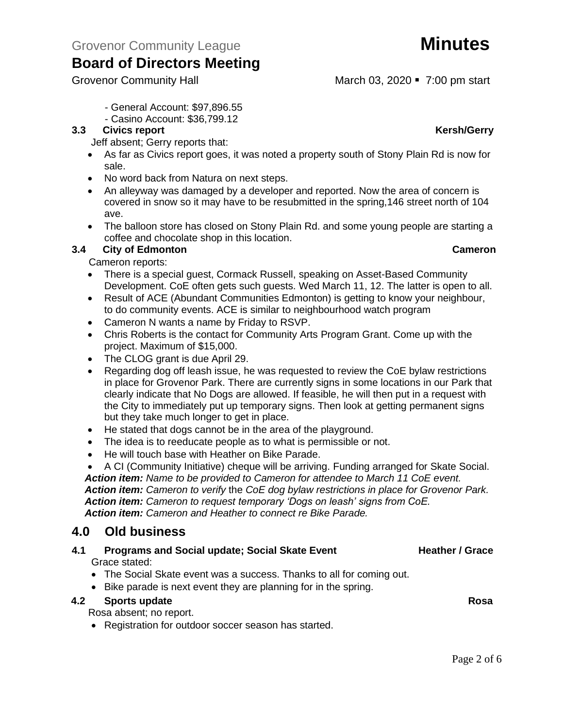Grovenor Community Hall March 03, 2020 • 7:00 pm start

- Casino Account: \$36,799.12

#### **3.3** Civics report **Kersh**/Gerry

Jeff absent; Gerry reports that:

- As far as Civics report goes, it was noted a property south of Stony Plain Rd is now for sale.
- No word back from Natura on next steps.
- An alleyway was damaged by a developer and reported. Now the area of concern is covered in snow so it may have to be resubmitted in the spring,146 street north of 104 ave.
- The balloon store has closed on Stony Plain Rd. and some young people are starting a coffee and chocolate shop in this location.

### **3.4 City of Edmonton Cameron**

Cameron reports:

- There is a special guest, Cormack Russell, speaking on Asset-Based Community Development. CoE often gets such guests. Wed March 11, 12. The latter is open to all.
- Result of ACE (Abundant Communities Edmonton) is getting to know your neighbour, to do community events. ACE is similar to neighbourhood watch program
- Cameron N wants a name by Friday to RSVP.
- Chris Roberts is the contact for Community Arts Program Grant. Come up with the project. Maximum of \$15,000.
- The CLOG grant is due April 29.
- Regarding dog off leash issue, he was requested to review the CoE bylaw restrictions in place for Grovenor Park. There are currently signs in some locations in our Park that clearly indicate that No Dogs are allowed. If feasible, he will then put in a request with the City to immediately put up temporary signs. Then look at getting permanent signs but they take much longer to get in place.
- He stated that dogs cannot be in the area of the playground.
- The idea is to reeducate people as to what is permissible or not.
- He will touch base with Heather on Bike Parade.

• A CI (Community Initiative) cheque will be arriving. Funding arranged for Skate Social. *Action item: Name to be provided to Cameron for attendee to March 11 CoE event. Action item: Cameron to verify* the *CoE dog bylaw restrictions in place for Grovenor Park. Action item: Cameron to request temporary 'Dogs on leash' signs from CoE. Action item: Cameron and Heather to connect re Bike Parade.*

## **4.0 Old business**

- **4.1 Programs and Social update; Social Skate Event Heather / Grace** Grace stated:
	- The Social Skate event was a success. Thanks to all for coming out.
	- Bike parade is next event they are planning for in the spring.

#### **4.2 Sports update Rosa**

Rosa absent; no report.

• Registration for outdoor soccer season has started.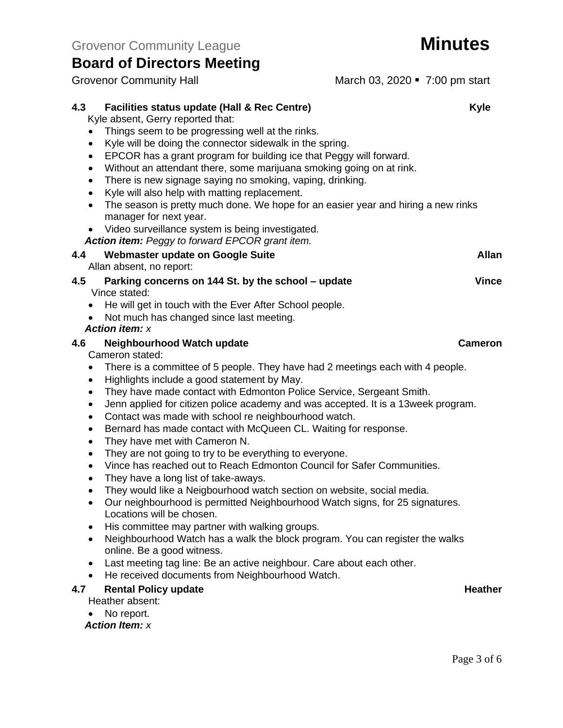Grovenor Community Hall March 03, 2020 • 7:00 pm start

| 4.3                             | Facilities status update (Hall & Rec Centre)                                                                | <b>Kyle</b>    |
|---------------------------------|-------------------------------------------------------------------------------------------------------------|----------------|
|                                 | Kyle absent, Gerry reported that:                                                                           |                |
|                                 | Things seem to be progressing well at the rinks.                                                            |                |
| $\bullet$                       | Kyle will be doing the connector sidewalk in the spring.                                                    |                |
| $\bullet$                       | EPCOR has a grant program for building ice that Peggy will forward.                                         |                |
| $\bullet$                       | Without an attendant there, some marijuana smoking going on at rink.                                        |                |
| ٠                               | There is new signage saying no smoking, vaping, drinking.                                                   |                |
| $\bullet$                       | Kyle will also help with matting replacement.                                                               |                |
| $\bullet$                       | The season is pretty much done. We hope for an easier year and hiring a new rinks<br>manager for next year. |                |
| $\bullet$                       | Video surveillance system is being investigated.                                                            |                |
|                                 | Action item: Peggy to forward EPCOR grant item.                                                             |                |
| 4.4<br>Allan absent, no report: | Webmaster update on Google Suite                                                                            | <b>Allan</b>   |
| 4.5<br>Vince stated:            | Parking concerns on 144 St. by the school - update                                                          | <b>Vince</b>   |
| $\bullet$                       | He will get in touch with the Ever After School people.                                                     |                |
|                                 | Not much has changed since last meeting.                                                                    |                |
| <b>Action item: x</b>           |                                                                                                             |                |
| 4.6                             | Neighbourhood Watch update                                                                                  | <b>Cameron</b> |
| Cameron stated:                 |                                                                                                             |                |
| $\bullet$                       | There is a committee of 5 people. They have had 2 meetings each with 4 people.                              |                |
| $\bullet$                       | Highlights include a good statement by May.                                                                 |                |
| $\bullet$                       | They have made contact with Edmonton Police Service, Sergeant Smith.                                        |                |
| $\bullet$                       | Jenn applied for citizen police academy and was accepted. It is a 13week program.                           |                |
| ٠                               | Contact was made with school re neighbourhood watch.                                                        |                |
| ٠                               | Bernard has made contact with McQueen CL. Waiting for response.                                             |                |
| $\bullet$                       | They have met with Cameron N.                                                                               |                |
| $\bullet$                       | They are not going to try to be everything to everyone.                                                     |                |
| $\bullet$                       | Vince has reached out to Reach Edmonton Council for Safer Communities.                                      |                |
| $\bullet$                       | They have a long list of take-aways.                                                                        |                |
| $\bullet$                       | They would like a Neigbourhood watch section on website, social media.                                      |                |
| $\bullet$                       | Our neighbourhood is permitted Neighbourhood Watch signs, for 25 signatures.<br>Locations will be chosen.   |                |
|                                 | His committee may partner with walking groups.                                                              |                |
|                                 | Neighbourhood Watch has a walk the block program. You can register the walks<br>online. Be a good witness.  |                |
| $\bullet$                       | Last meeting tag line: Be an active neighbour. Care about each other.                                       |                |
| $\bullet$                       | He received documents from Neighbourhood Watch.                                                             |                |
| 4.7                             | <b>Rental Policy update</b>                                                                                 | <b>Heather</b> |
| Heather absent:                 |                                                                                                             |                |
| No report.                      |                                                                                                             |                |
| <b>Action Item: x</b>           |                                                                                                             |                |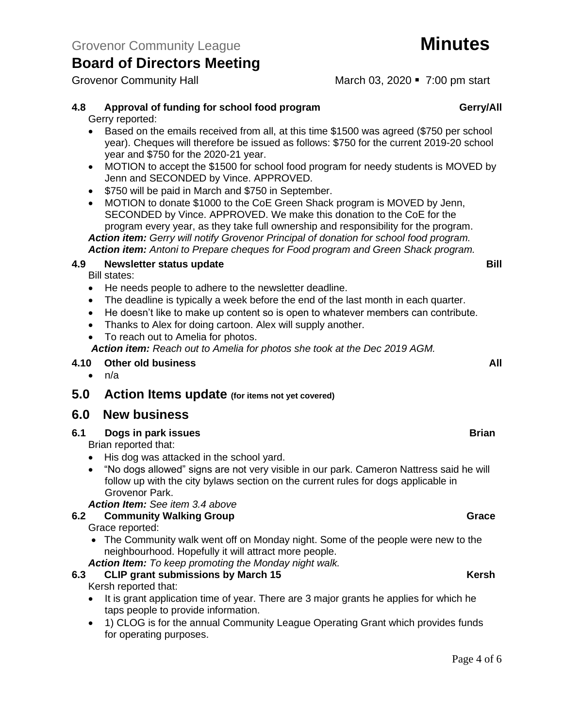Grovenor Community Hall March 03, 2020 • 7:00 pm start

# **4.8 Approval of funding for school food program Gerry/All**

Gerry reported:

- Based on the emails received from all, at this time \$1500 was agreed (\$750 per school year). Cheques will therefore be issued as follows: \$750 for the current 2019-20 school year and \$750 for the 2020-21 year.
- MOTION to accept the \$1500 for school food program for needy students is MOVED by Jenn and SECONDED by Vince. APPROVED.
- \$750 will be paid in March and \$750 in September.
- MOTION to donate \$1000 to the CoE Green Shack program is MOVED by Jenn, SECONDED by Vince. APPROVED. We make this donation to the CoE for the program every year, as they take full ownership and responsibility for the program. *Action item: Gerry will notify Grovenor Principal of donation for school food program. Action item: Antoni to Prepare cheques for Food program and Green Shack program.*

#### **4.9 Newsletter status update Bill**

Bill states:

- He needs people to adhere to the newsletter deadline.
- The deadline is typically a week before the end of the last month in each quarter.
- He doesn't like to make up content so is open to whatever members can contribute.
- Thanks to Alex for doing cartoon. Alex will supply another.
- To reach out to Amelia for photos.

*Action item: Reach out to Amelia for photos she took at the Dec 2019 AGM.*

#### **4.10 Other old business All**

• n/a

### **5.0 Action Items update (for items not yet covered)**

## **6.0 New business**

**6.1 Dogs in park issues Brian**

Brian reported that:

- His dog was attacked in the school yard.
- "No dogs allowed" signs are not very visible in our park. Cameron Nattress said he will follow up with the city bylaws section on the current rules for dogs applicable in Grovenor Park.

### *Action Item: See item 3.4 above*

### **6.2 Community Walking Group Grace Grace Grace Grace Grace**

Grace reported:

- The Community walk went off on Monday night. Some of the people were new to the neighbourhood. Hopefully it will attract more people.
- *Action Item: To keep promoting the Monday night walk.*

## **6.3 CLIP grant submissions by March 15 Kersh**

#### Kersh reported that:

- It is grant application time of year. There are 3 major grants he applies for which he taps people to provide information.
- 1) CLOG is for the annual Community League Operating Grant which provides funds for operating purposes.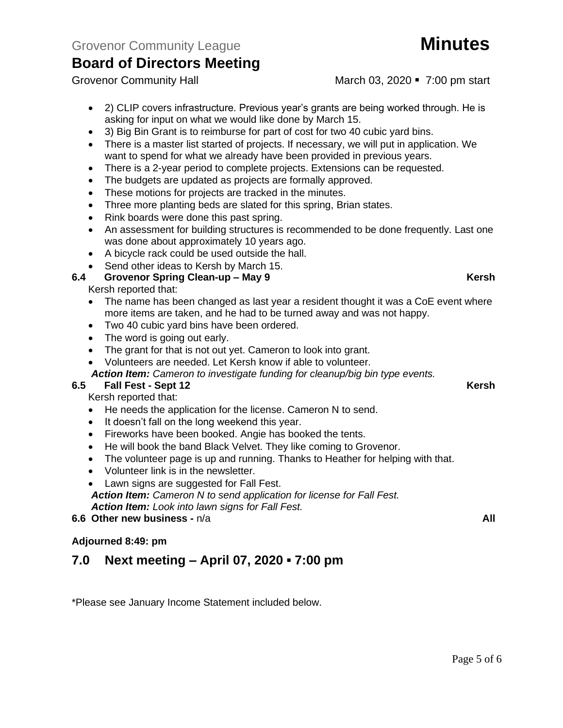- 2) CLIP covers infrastructure. Previous year's grants are being worked through. He is asking for input on what we would like done by March 15.
- 3) Big Bin Grant is to reimburse for part of cost for two 40 cubic yard bins.
- There is a master list started of projects. If necessary, we will put in application. We want to spend for what we already have been provided in previous years.
- There is a 2-year period to complete projects. Extensions can be requested.
- The budgets are updated as projects are formally approved.
- These motions for projects are tracked in the minutes.
- Three more planting beds are slated for this spring, Brian states.
- Rink boards were done this past spring.
- An assessment for building structures is recommended to be done frequently. Last one was done about approximately 10 years ago.
- A bicycle rack could be used outside the hall.
- Send other ideas to Kersh by March 15.

### **6.4 Grovenor Spring Clean-up – May 9 Kersh**

Kersh reported that:

- The name has been changed as last year a resident thought it was a CoE event where more items are taken, and he had to be turned away and was not happy.
- Two 40 cubic yard bins have been ordered.
- The word is going out early.
- The grant for that is not out yet. Cameron to look into grant.
- Volunteers are needed. Let Kersh know if able to volunteer.

*Action Item: Cameron to investigate funding for cleanup/big bin type events.*

### **6.5 Fall Fest - Sept 12 Kersh**

Kersh reported that:

- He needs the application for the license. Cameron N to send.
- It doesn't fall on the long weekend this year.
- Fireworks have been booked. Angie has booked the tents.
- He will book the band Black Velvet. They like coming to Grovenor.
- The volunteer page is up and running. Thanks to Heather for helping with that.
- Volunteer link is in the newsletter.
- Lawn signs are suggested for Fall Fest. *Action Item: Cameron N to send application for license for Fall Fest. Action Item: Look into lawn signs for Fall Fest.*

**6.6 Other new business -** n/a **All**

### **Adjourned 8:49: pm**

# **7.0 Next meeting – April 07, 2020 ▪ 7:00 pm**

\*Please see January Income Statement included below.

Grovenor Community Hall March 03, 2020 • 7:00 pm start